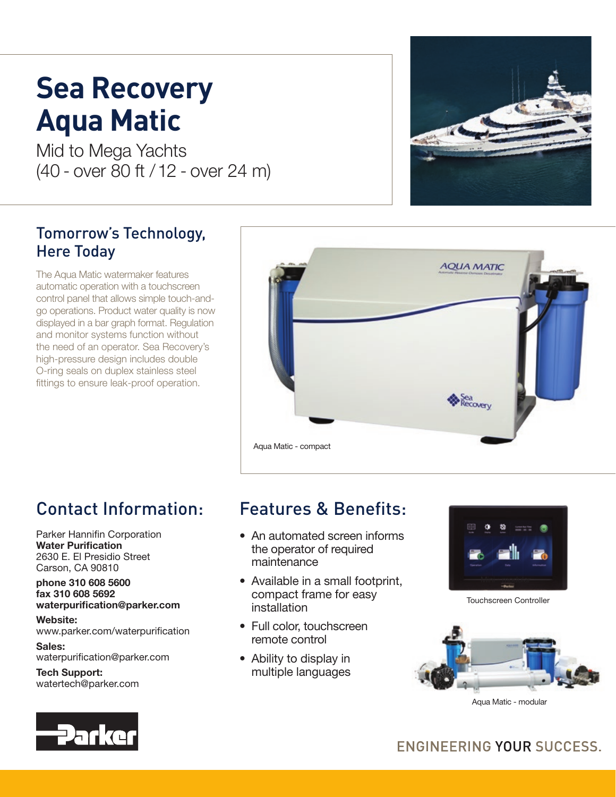# **Sea Recovery Aqua Matic**

Mid to Mega Yachts (40 - over 80 ft / 12 - over 24 m)

### Tomorrow's Technology, Here Today

The Aqua Matic watermaker features automatic operation with a touchscreen control panel that allows simple touch-andgo operations. Product water quality is now displayed in a bar graph format. Regulation and monitor systems function without the need of an operator. Sea Recovery's high-pressure design includes double O-ring seals on duplex stainless steel fittings to ensure leak-proof operation.



# Contact Information:

Parker Hannifin Corporation Water Purification 2630 E. El Presidio Street Carson, CA 90810

#### phone 310 608 5600 fax 310 608 5692 waterpurification@parker.com

Website: www.parker.com/waterpurification

Sales: waterpurification@parker.com

Tech Support: watertech@parker.com

# Features & Benefits:

- An automated screen informs the operator of required maintenance
- Available in a small footprint, compact frame for easy installation
- Full color, touchscreen remote control
- Ability to display in multiple languages



Touchscreen Controller



Aqua Matic - modular



## ENGINEERING YOUR SUCCESS.